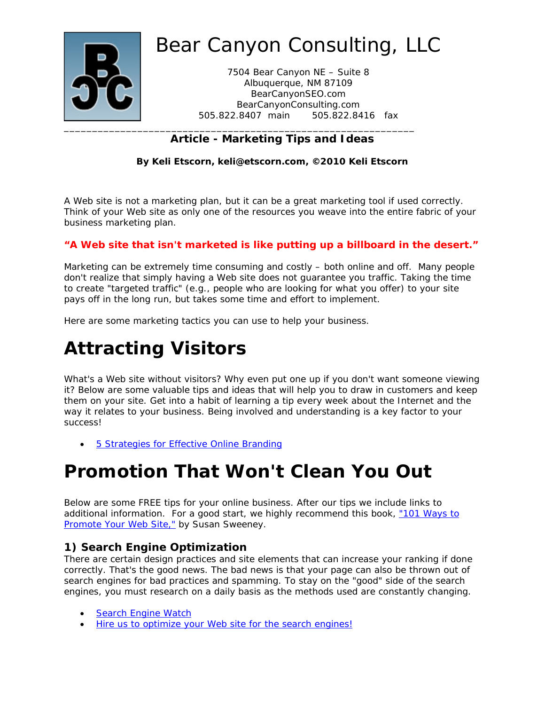

7504 Bear Canyon NE – Suite 8 Albuquerque, NM 87109 BearCanyonSEO.com BearCanyonConsulting.com 505.822.8407 main 505.822.8416 fax

## **Article - Marketing Tips and Ideas**

**By Keli Etscorn, keli@etscorn.com, ©2010 Keli Etscorn** 

A Web site is not a marketing plan, but it can be a great marketing tool if used correctly. Think of your Web site as only one of the resources you weave into the entire fabric of your business marketing plan.

#### *"A Web site that isn't marketed is like putting up a billboard in the desert."*

Marketing can be extremely time consuming and costly – both online and off. Many people don't realize that simply having a Web site does not guarantee you traffic. Taking the time to create "targeted traffic" (e.g., people who are looking for what you offer) to your site pays off in the long run, but takes some time and effort to implement.

Here are some marketing tactics you can use to help your business.

## **Attracting Visitors**

What's a Web site without visitors? Why even put one up if you don't want someone viewing it? Below are some valuable tips and ideas that will help you to draw in customers and keep them on your site. Get into a habit of learning a tip every week about the Internet and the way it relates to your business. Being involved and understanding is a key factor to your success!

• 5 Strategies for Effective Online Branding

## **Promotion That Won't Clean You Out**

Below are some FREE tips for your online business. After our tips we include links to additional information. For a good start, we highly recommend this book, "101 Ways to Promote Your Web Site," by Susan Sweeney.

### **1) Search Engine Optimization**

There are certain design practices and site elements that can increase your ranking if done correctly. That's the good news. The bad news is that your page can also be thrown out of search engines for bad practices and spamming. To stay on the "good" side of the search engines, you must research on a daily basis as the methods used are constantly changing.

- Search Engine Watch
- Hire us to optimize your Web site for the search engines!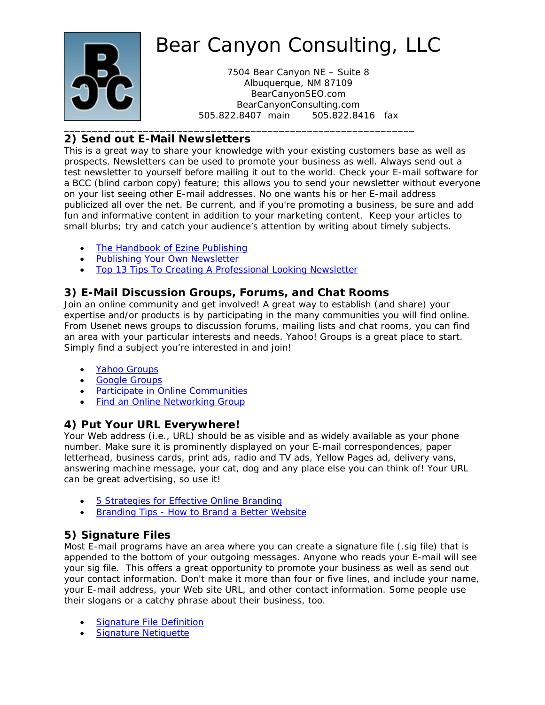

7504 Bear Canyon NE – Suite 8 Albuquerque, NM 87109 BearCanyonSEO.com BearCanyonConsulting.com 505.822.8407 main 505.822.8416 fax

## **2) Send out E-Mail Newsletters**

This is a great way to share your knowledge with your existing customers base as well as prospects. Newsletters can be used to promote your business as well. Always send out a test newsletter to yourself before mailing it out to the world. Check your E-mail software for a BCC (blind carbon copy) feature; this allows you to send your newsletter without everyone on your list seeing other E-mail addresses. No one wants his or her E-mail address publicized all over the net. Be current, and if you're promoting a business, be sure and add fun and informative content in addition to your marketing content. Keep your articles to small blurbs; try and catch your audience's attention by writing about timely subjects.

- The Handbook of Ezine Publishing
- **Publishing Your Own Newsletter**
- Top 13 Tips To Creating A Professional Looking Newsletter

### **3) E-Mail Discussion Groups, Forums, and Chat Rooms**

Join an online community and get involved! A great way to establish (and share) your expertise and/or products is by participating in the many communities you will find online. From Usenet news groups to discussion forums, mailing lists and chat rooms, you can find an area with your particular interests and needs. Yahoo! Groups is a great place to start. Simply find a subject you're interested in and join!

- Yahoo Groups
- Google Groups
- **•** Participate in Online Communities
- Find an Online Networking Group

### **4) Put Your URL Everywhere!**

Your Web address (i.e., URL) should be as visible and as widely available as your phone number. Make sure it is prominently displayed on your E-mail correspondences, paper letterhead, business cards, print ads, radio and TV ads, Yellow Pages ad, delivery vans, answering machine message, your cat, dog and any place else you can think of! Your URL can be great advertising, so use it!

- 5 Strategies for Effective Online Branding
- **Branding Tips How to Brand a Better Website**

## **5) Signature Files**

Most E-mail programs have an area where you can create a signature file (.sig file) that is appended to the bottom of your outgoing messages. Anyone who reads your E-mail will see your sig file. This offers a great opportunity to promote your business as well as send out your contact information. Don't make it more than four or five lines, and include your name, your E-mail address, your Web site URL, and other contact information. Some people use their slogans or a catchy phrase about their business, too.

- Signature File Definition
- **Signature Netiquette**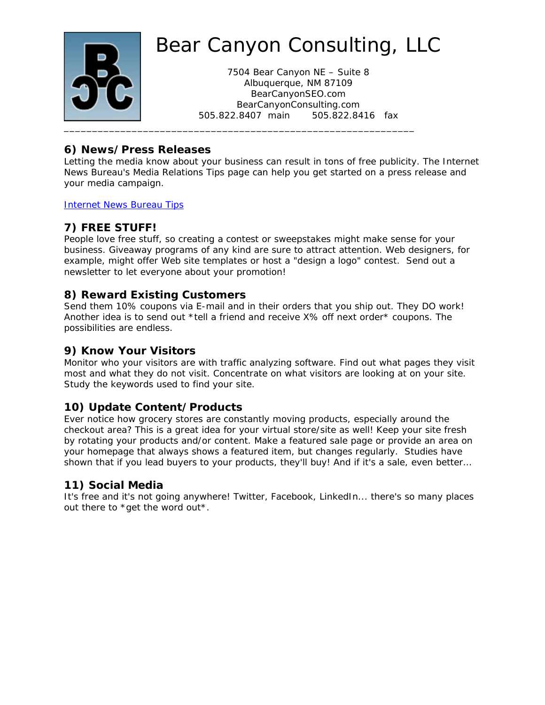

7504 Bear Canyon NE – Suite 8 Albuquerque, NM 87109 BearCanyonSEO.com BearCanyonConsulting.com 505.822.8407 main 505.822.8416 fax

#### **6) News/Press Releases**

Letting the media know about your business can result in tons of free publicity. The Internet News Bureau's Media Relations Tips page can help you get started on a press release and your media campaign.

Internet News Bureau Tips

## **7) FREE STUFF!**

People love free stuff, so creating a contest or sweepstakes might make sense for your business. Giveaway programs of any kind are sure to attract attention. Web designers, for example, might offer Web site templates or host a "design a logo" contest. Send out a newsletter to let everyone about your promotion!

#### **8) Reward Existing Customers**

Send them 10% coupons via E-mail and in their orders that you ship out. They DO work! Another idea is to send out \*tell a friend and receive X% off next order\* coupons. The possibilities are endless.

#### **9) Know Your Visitors**

Monitor who your visitors are with traffic analyzing software. Find out what pages they visit most and what they do not visit. Concentrate on what visitors are looking at on your site. Study the keywords used to find your site.

### **10) Update Content/Products**

Ever notice how grocery stores are constantly moving products, especially around the checkout area? This is a great idea for your virtual store/site as well! Keep your site fresh by rotating your products and/or content. Make a featured sale page or provide an area on your homepage that always shows a featured item, but changes regularly. Studies have shown that if you lead buyers to your products, they'll buy! And if it's a sale, even better…

#### **11) Social Media**

It's free and it's not going anywhere! Twitter, Facebook, LinkedIn... there's so many places out there to \*get the word out\*.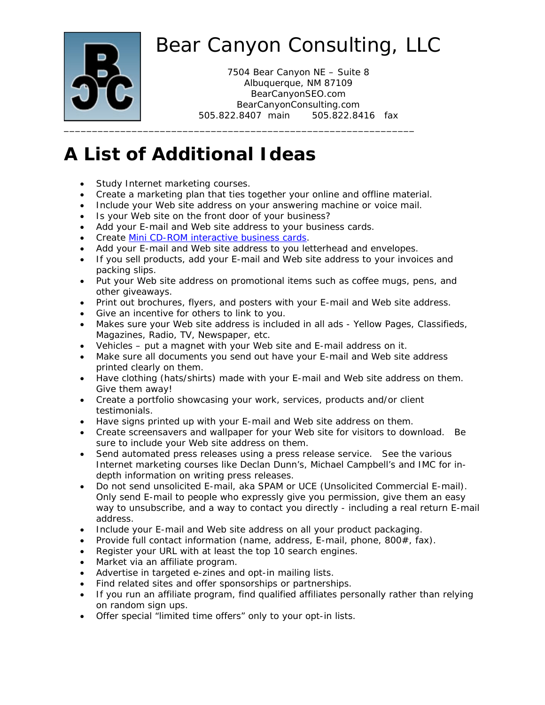

7504 Bear Canyon NE – Suite 8 Albuquerque, NM 87109 BearCanyonSEO.com BearCanyonConsulting.com 505.822.8407 main 505.822.8416 fax

## **A List of Additional Ideas**

- Study Internet marketing courses.
- Create a marketing plan that ties together your online and offline material.
- Include your Web site address on your answering machine or voice mail.
- Is your Web site on the front door of your business?
- Add your E-mail and Web site address to your business cards.
- **Create Mini CD-ROM interactive business cards.**
- Add your E-mail and Web site address to you letterhead and envelopes.
- If you sell products, add your E-mail and Web site address to your invoices and packing slips.
- Put your Web site address on promotional items such as coffee mugs, pens, and other giveaways.
- Print out brochures, flyers, and posters with your E-mail and Web site address.
- Give an incentive for others to link to you.
- Makes sure your Web site address is included in all ads Yellow Pages, Classifieds, Magazines, Radio, TV, Newspaper, etc.
- Vehicles put a magnet with your Web site and E-mail address on it.
- Make sure all documents you send out have your E-mail and Web site address printed clearly on them.
- Have clothing (hats/shirts) made with your E-mail and Web site address on them. Give them away!
- Create a portfolio showcasing your work, services, products and/or client testimonials.
- Have signs printed up with your E-mail and Web site address on them.
- Create screensavers and wallpaper for your Web site for visitors to download. Be sure to include your Web site address on them.
- Send automated press releases using a press release service. See the various Internet marketing courses like Declan Dunn's, Michael Campbell's and IMC for indepth information on writing press releases.
- Do not send unsolicited E-mail, aka SPAM or UCE (Unsolicited Commercial E-mail). Only send E-mail to people who expressly give you permission, give them an easy way to unsubscribe, and a way to contact you directly - including a real return E-mail address.
- Include your E-mail and Web site address on all your product packaging.
- Provide full contact information (name, address, E-mail, phone,  $800#$ , fax).
- Register your URL with at least the top 10 search engines.
- Market via an affiliate program.
- Advertise in targeted e-zines and opt-in mailing lists.
- Find related sites and offer sponsorships or partnerships.
- If you run an affiliate program, find qualified affiliates personally rather than relying on random sign ups.
- Offer special "limited time offers" only to your opt-in lists.